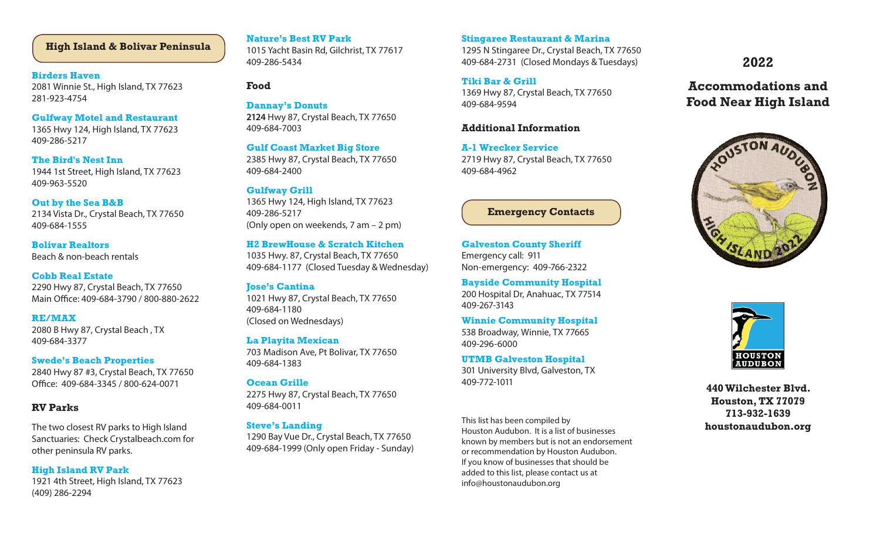# **High Island & Bolivar Peninsula Stature's Best RV Park** Stingaree Restaurant & Marina<br>
1015 Yacht Racin Rd Gilchrist TV 77617 1005 N Stingaree Dr. Crustal Boach Ti

#### **Birders Haven**

2081 Winnie St., High Island, TX 77623 281-923-4754

#### **Gulfway Motel and Restaurant**

1365 Hwy 124, High Island, TX 77623 409-286-5217

#### **The Bird's Nest Inn**

1944 1st Street, High Island, TX 77623 409-963-5520

#### **Out by the Sea B&B**

2134 Vista Dr., Crystal Beach, TX 77650 409-684-1555

**Bolivar Realtors** Beach & non-beach rentals

## **Cobb Real Estate**

2290 Hwy 87, Crystal Beach, TX 77650 Main Office: 409-684-3790 / 800-880-2622

## **RE/MAX**

2080 B Hwy 87, Crystal Beach , TX 409-684-3377

#### **Swede's Beach Properties**

2840 Hwy 87 #3, Crystal Beach, TX 77650 Office: 409-684-3345 / 800-624-0071

# **RV Parks**

The two closest RV parks to High Island Sanctuaries: Check Crystalbeach.com for other peninsula RV parks.

## **High Island RV Park**

1921 4th Street, High Island, TX 77623 (409) 286-2294

## **Nature's Best RV Park**

1015 Yacht Basin Rd, Gilchrist, TX 77617 409-286-5434

#### **Food**

# **Dannay's Donuts**

**2124** Hwy 87, Crystal Beach, TX 77650 409-684-7003

#### **Gulf Coast Market Big Store**

2385 Hwy 87, Crystal Beach, TX 77650 409-684-2400

#### **Gulfway Grill**

1365 Hwy 124, High Island, TX 77623 409-286-5217 (Only open on weekends, 7 am – 2 pm)

#### **H2 BrewHouse & Scratch Kitchen**

1035 Hwy. 87, Crystal Beach, TX 77650 409-684-1177 (Closed Tuesday & Wednesday)

# **Jose's Cantina**

1021 Hwy 87, Crystal Beach, TX 77650 409-684-1180 (Closed on Wednesdays)

## **La Playita Mexican**

703 Madison Ave, Pt Bolivar, TX 77650 409-684-1383

## **Ocean Grille**

2275 Hwy 87, Crystal Beach, TX 77650 409-684-0011

#### **Steve's Landing**

1290 Bay Vue Dr., Crystal Beach, TX 77650 409-684-1999 (Only open Friday - Sunday)

1295 N Stingaree Dr., Crystal Beach, TX 77650 409-684-2731 (Closed Mondays & Tuesdays)

# **Tiki Bar & Grill**

1369 Hwy 87, Crystal Beach, TX 77650 409-684-9594

# **Additional Information**

**A-1 Wrecker Service** 2719 Hwy 87, Crystal Beach, TX 77650 409-684-4962

# **Emergency Contacts**

**Galveston County Sheriff** Emergency call: 911 Non-emergency: 409-766-2322

**Bayside Community Hospital** 200 Hospital Dr, Anahuac, TX 77514 409-267-3143

**Winnie Community Hospital** 538 Broadway, Winnie, TX 77665 409-296-6000

**UTMB Galveston Hospital** 301 University Blvd, Galveston, TX 409-772-1011

This list has been compiled by Houston Audubon. It is a list of businesses known by members but is not an endorsement or recommendation by Houston Audubon. If you know of businesses that should be added to this list, please contact us at info@houstonaudubon.org

**2022**

# **Accommodations and Food Near High Island**





**440 Wilchester Blvd. Houston, TX 77079 713-932-1639 houstonaudubon.org**